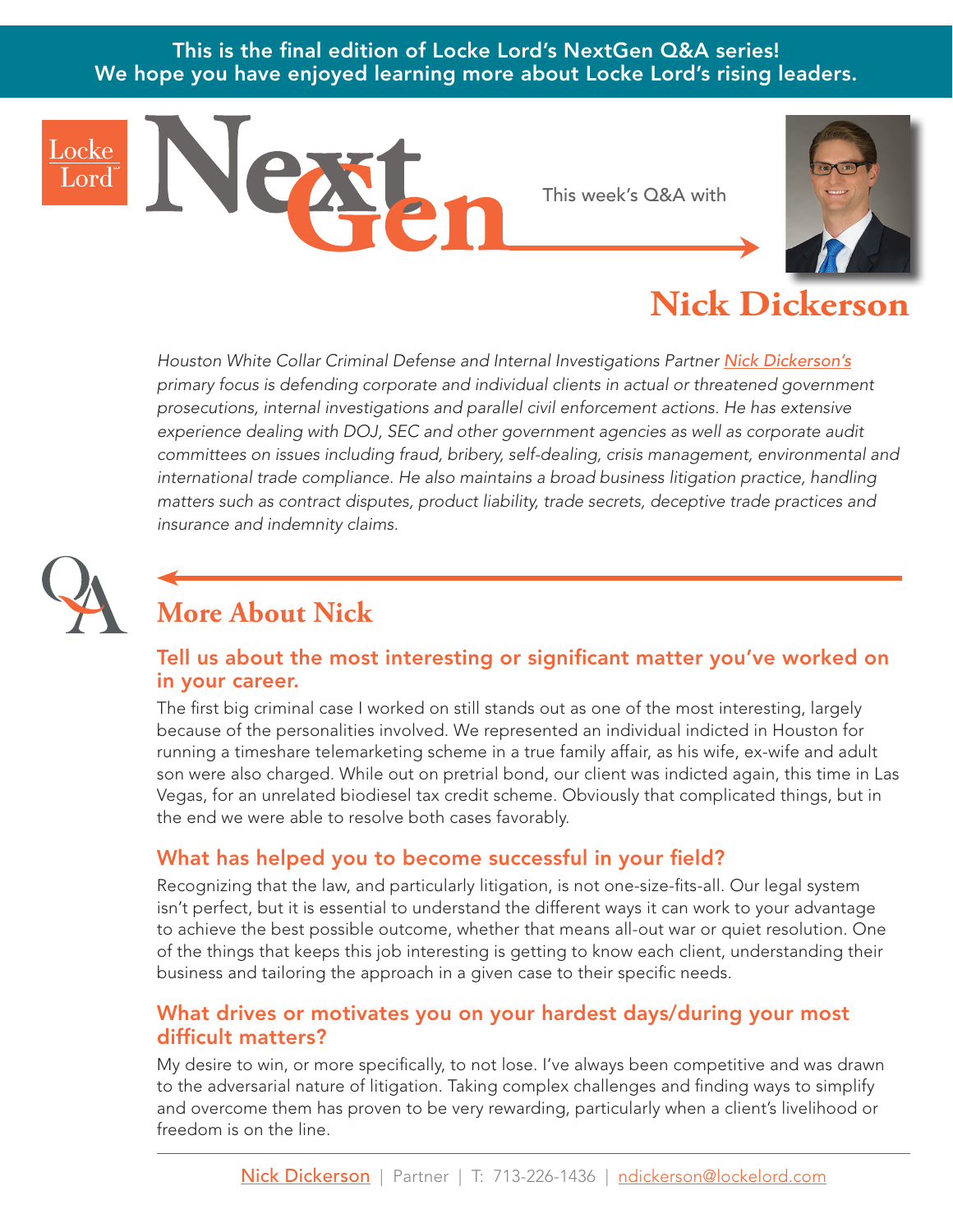This is the final edition of Locke Lord's NextGen Q&A series! We hope you have enjoyed learning more about Locke Lord's rising leaders.

# **Nick Dicker**

*Houston White Collar Criminal Defense and Internal Investigations Partner [Nick Dickerson's](https://www.lockelord.com/professionals/d/dickerson-nicholas-p?lang=en) primary focus is defending corporate and individual clients in actual or threatened government prosecutions, internal investigations and parallel civil enforcement actions. He has extensive experience dealing with DOJ, SEC and other government agencies as well as corporate audit committees on issues including fraud, bribery, self-dealing, crisis management, environmental and international trade compliance. He also maintains a broad business litigation practice, handling matters such as contract disputes, product liability, trade secrets, deceptive trade practices and insurance and indemnity claims.* 

This week's Q&A with



## **More About Nick**

#### Tell us about the most interesting or significant matter you've worked on in your career.

The first big criminal case I worked on still stands out as one of the most interesting, largely because of the personalities involved. We represented an individual indicted in Houston for running a timeshare telemarketing scheme in a true family affair, as his wife, ex-wife and adult son were also charged. While out on pretrial bond, our client was indicted again, this time in Las Vegas, for an unrelated biodiesel tax credit scheme. Obviously that complicated things, but in the end we were able to resolve both cases favorably.

### What has helped you to become successful in your field?

Recognizing that the law, and particularly litigation, is not one-size-fits-all. Our legal system isn't perfect, but it is essential to understand the different ways it can work to your advantage to achieve the best possible outcome, whether that means all-out war or quiet resolution. One of the things that keeps this job interesting is getting to know each client, understanding their business and tailoring the approach in a given case to their specific needs.

#### What drives or motivates you on your hardest days/during your most difficult matters?

My desire to win, or more specifically, to not lose. I've always been competitive and was drawn to the adversarial nature of litigation. Taking complex challenges and finding ways to simplify and overcome them has proven to be very rewarding, particularly when a client's livelihood or freedom is on the line.